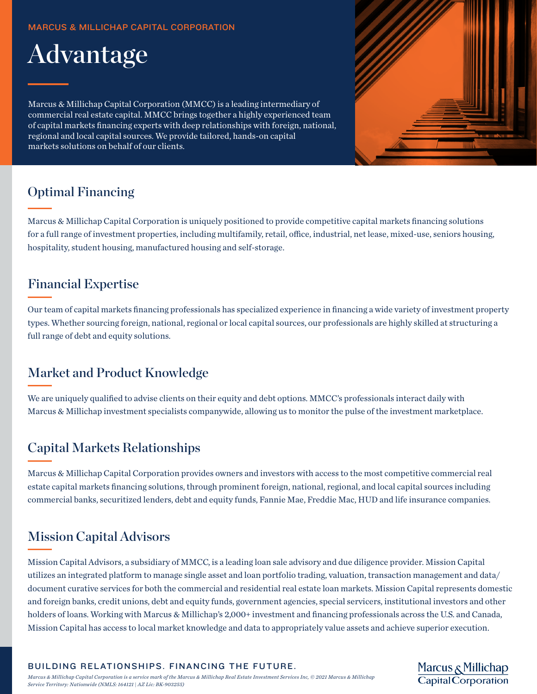#### MARCUS & MILLICHAP CAPITAL CORPORATION



Marcus & Millichap Capital Corporation (MMCC) is a leading intermediary of commercial real estate capital. MMCC brings together a highly experienced team of capital markets financing experts with deep relationships with foreign, national, regional and local capital sources. We provide tailored, hands-on capital markets solutions on behalf of our clients.



Marcus & Millichap<br>Capital Corporation

### Optimal Financing

Marcus & Millichap Capital Corporation is uniquely positioned to provide competitive capital markets financing solutions for a full range of investment properties, including multifamily, retail, office, industrial, net lease, mixed-use, seniors housing, hospitality, student housing, manufactured housing and self-storage.

### Financial Expertise

Our team of capital markets financing professionals has specialized experience in financing a wide variety of investment property types. Whether sourcing foreign, national, regional or local capital sources, our professionals are highly skilled at structuring a full range of debt and equity solutions.

## Market and Product Knowledge

We are uniquely qualified to advise clients on their equity and debt options. MMCC's professionals interact daily with Marcus & Millichap investment specialists companywide, allowing us to monitor the pulse of the investment marketplace.

## Capital Markets Relationships

Marcus & Millichap Capital Corporation provides owners and investors with access to the most competitive commercial real estate capital markets financing solutions, through prominent foreign, national, regional, and local capital sources including commercial banks, securitized lenders, debt and equity funds, Fannie Mae, Freddie Mac, HUD and life insurance companies.

## Mission Capital Advisors

Mission Capital Advisors, a subsidiary of MMCC, is a leading loan sale advisory and due diligence provider. Mission Capital utilizes an integrated platform to manage single asset and loan portfolio trading, valuation, transaction management and data/ document curative services for both the commercial and residential real estate loan markets. Mission Capital represents domestic and foreign banks, credit unions, debt and equity funds, government agencies, special servicers, institutional investors and other holders of loans. Working with Marcus & Millichap's 2,000+ investment and financing professionals across the U.S. and Canada, Mission Capital has access to local market knowledge and data to appropriately value assets and achieve superior execution.

BUILDING RELATIONSHIPS. FINANCING THE FUTURE.

*Marcus & Millichap Capital Corporation is a service mark of the Marcus & Millichap Real Estate Investment Services Inc, © 2021 Marcus & Millichap Service Territory: Nationwide (NMLS: 164121 | AZ Lic: BK-903255)*